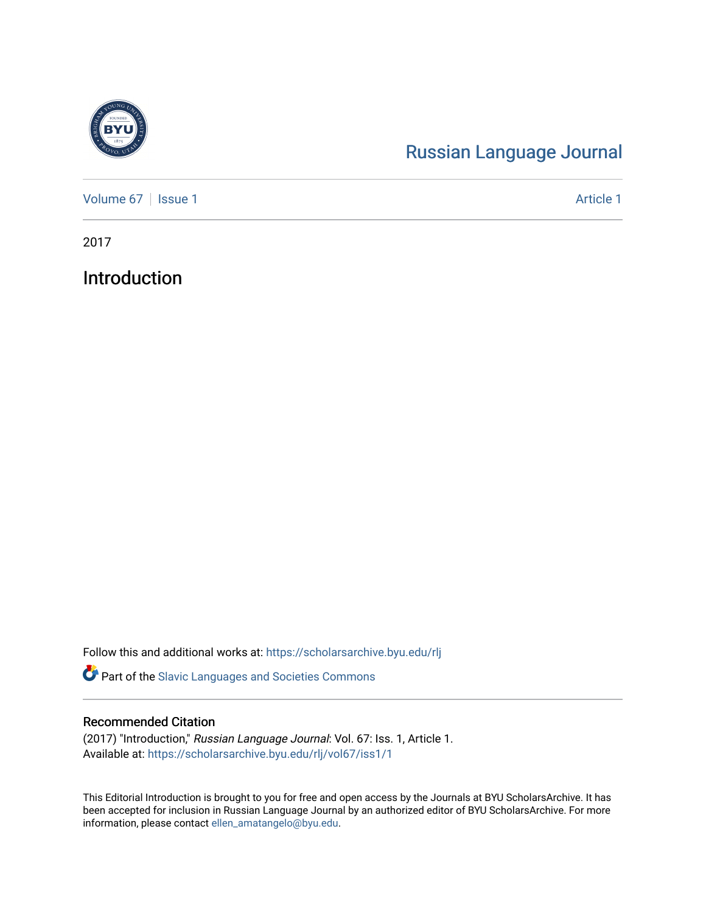

## [Russian Language Journal](https://scholarsarchive.byu.edu/rlj)

[Volume 67](https://scholarsarchive.byu.edu/rlj/vol67) | [Issue 1](https://scholarsarchive.byu.edu/rlj/vol67/iss1) Article 1

2017

Introduction

Follow this and additional works at: [https://scholarsarchive.byu.edu/rlj](https://scholarsarchive.byu.edu/rlj?utm_source=scholarsarchive.byu.edu%2Frlj%2Fvol67%2Fiss1%2F1&utm_medium=PDF&utm_campaign=PDFCoverPages)

Part of the [Slavic Languages and Societies Commons](http://network.bepress.com/hgg/discipline/486?utm_source=scholarsarchive.byu.edu%2Frlj%2Fvol67%2Fiss1%2F1&utm_medium=PDF&utm_campaign=PDFCoverPages) 

## Recommended Citation

(2017) "Introduction," Russian Language Journal: Vol. 67: Iss. 1, Article 1. Available at: [https://scholarsarchive.byu.edu/rlj/vol67/iss1/1](https://scholarsarchive.byu.edu/rlj/vol67/iss1/1?utm_source=scholarsarchive.byu.edu%2Frlj%2Fvol67%2Fiss1%2F1&utm_medium=PDF&utm_campaign=PDFCoverPages) 

This Editorial Introduction is brought to you for free and open access by the Journals at BYU ScholarsArchive. It has been accepted for inclusion in Russian Language Journal by an authorized editor of BYU ScholarsArchive. For more information, please contact [ellen\\_amatangelo@byu.edu.](mailto:ellen_amatangelo@byu.edu)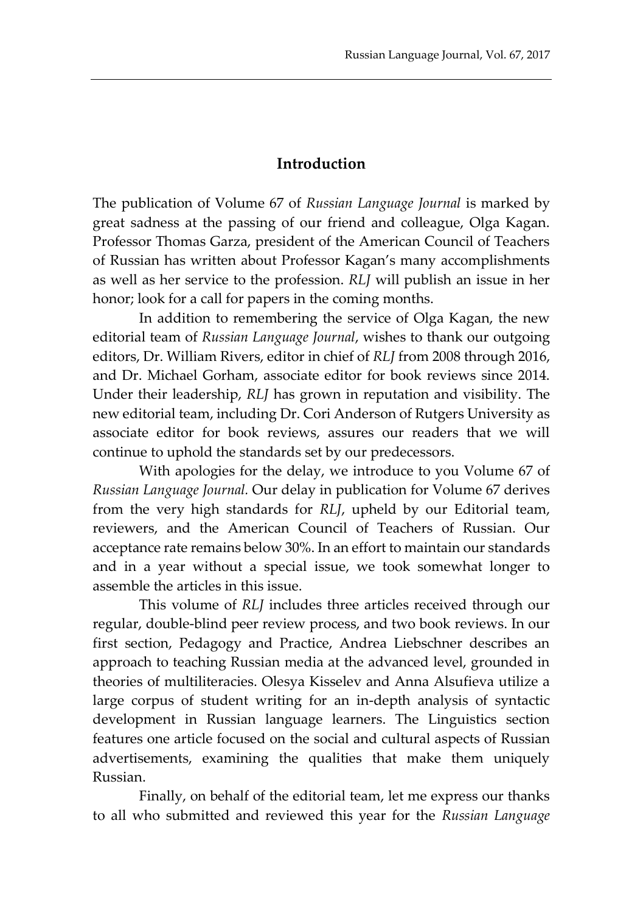## **Introduction**

The publication of Volume 67 of *Russian Language Journal* is marked by great sadness at the passing of our friend and colleague, Olga Kagan. Professor Thomas Garza, president of the American Council of Teachers of Russian has written about Professor Kagan's many accomplishments as well as her service to the profession. *RLJ* will publish an issue in her honor; look for a call for papers in the coming months.

In addition to remembering the service of Olga Kagan, the new editorial team of *Russian Language Journal*, wishes to thank our outgoing editors, Dr. William Rivers, editor in chief of *RLJ* from 2008 through 2016, and Dr. Michael Gorham, associate editor for book reviews since 2014. Under their leadership, *RLJ* has grown in reputation and visibility. The new editorial team, including Dr. Cori Anderson of Rutgers University as associate editor for book reviews, assures our readers that we will continue to uphold the standards set by our predecessors.

With apologies for the delay, we introduce to you Volume 67 of *Russian Language Journal.* Our delay in publication for Volume 67 derives from the very high standards for *RLJ*, upheld by our Editorial team, reviewers, and the American Council of Teachers of Russian. Our acceptance rate remains below 30%. In an effort to maintain our standards and in a year without a special issue, we took somewhat longer to assemble the articles in this issue.

This volume of *RLJ* includes three articles received through our regular, double-blind peer review process, and two book reviews. In our first section, Pedagogy and Practice, Andrea Liebschner describes an approach to teaching Russian media at the advanced level, grounded in theories of multiliteracies. Olesya Kisselev and Anna Alsufieva utilize a large corpus of student writing for an in-depth analysis of syntactic development in Russian language learners. The Linguistics section features one article focused on the social and cultural aspects of Russian advertisements, examining the qualities that make them uniquely Russian.

Finally, on behalf of the editorial team, let me express our thanks to all who submitted and reviewed this year for the *Russian Language*